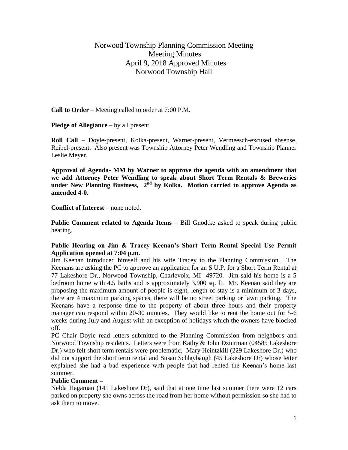# Norwood Township Planning Commission Meeting Meeting Minutes April 9, 2018 Approved Minutes Norwood Township Hall

**Call to Order** – Meeting called to order at 7:00 P.M.

**Pledge of Allegiance** – by all present

**Roll Call** – Doyle-present, Kolka-present, Warner-present, Vermeesch-excused absense, Reibel-present. Also present was Township Attorney Peter Wendling and Township Planner Leslie Meyer.

**Approval of Agenda- MM by Warner to approve the agenda with an amendment that we add Attorney Peter Wendling to speak about Short Term Rentals & Breweries**  under New Planning Business, 2<sup>nd</sup> by Kolka. Motion carried to approve Agenda as **amended 4-0.**

**Conflict of Interest** – none noted.

**Public Comment related to Agenda Items – Bill Gnodtke asked to speak during public** hearing.

# **Public Hearing on Jim & Tracey Keenan's Short Term Rental Special Use Permit Application opened at 7:04 p.m.**

Jim Keenan introduced himself and his wife Tracey to the Planning Commission. The Keenans are asking the PC to approve an application for an S.U.P. for a Short Term Rental at 77 Lakeshore Dr., Norwood Township, Charlevoix, MI 49720. Jim said his home is a 5 bedroom home with 4.5 baths and is approximately 3,900 sq. ft. Mr. Keenan said they are proposing the maximum amount of people is eight, length of stay is a minimum of 3 days, there are 4 maximum parking spaces, there will be no street parking or lawn parking. The Keenans have a response time to the property of about three hours and their property manager can respond within 20-30 minutes. They would like to rent the home out for 5-6 weeks during July and August with an exception of holidays which the owners have blocked off.

PC Chair Doyle read letters submitted to the Planning Commission from neighbors and Norwood Township residents. Letters were from Kathy & John Dziurman (04585 Lakeshore Dr.) who felt short term rentals were problematic, Mary Heintzkill (229 Lakeshore Dr.) who did not support the short term rental and Susan Schlaybaugh (45 Lakeshore Dr) whose letter explained she had a bad experience with people that had rented the Keenan's home last summer.

# **Public Comment –**

Nelda Hagaman (141 Lakeshore Dr), said that at one time last summer there were 12 cars parked on property she owns across the road from her home without permission so she had to ask them to move.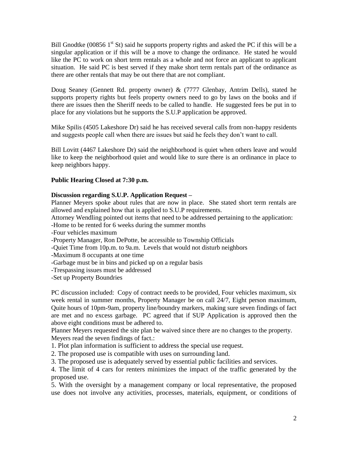Bill Gnodtke (00856  $1<sup>st</sup>$  St) said he supports property rights and asked the PC if this will be a singular application or if this will be a move to change the ordinance. He stated he would like the PC to work on short term rentals as a whole and not force an applicant to applicant situation. He said PC is best served if they make short term rentals part of the ordinance as there are other rentals that may be out there that are not compliant.

Doug Seaney (Gennett Rd. property owner) & (7777 Glenbay, Antrim Dells), stated he supports property rights but feels property owners need to go by laws on the books and if there are issues then the Sheriff needs to be called to handle. He suggested fees be put in to place for any violations but he supports the S.U.P application be approved.

Mike Spilis (4505 Lakeshore Dr) said he has received several calls from non-happy residents and suggests people call when there are issues but said he feels they don't want to call.

Bill Lovitt (4467 Lakeshore Dr) said the neighborhood is quiet when others leave and would like to keep the neighborhood quiet and would like to sure there is an ordinance in place to keep neighbors happy.

## **Public Hearing Closed at 7:30 p.m.**

## **Discussion regarding S.U.P. Application Request –**

Planner Meyers spoke about rules that are now in place. She stated short term rentals are allowed and explained how that is applied to S.U.P requirements.

Attorney Wendling pointed out items that need to be addressed pertaining to the application:

-Home to be rented for 6 weeks during the summer months

-Four vehicles maximum

-Property Manager, Ron DePotte, be accessible to Township Officials

-Quiet Time from 10p.m. to 9a.m. Levels that would not disturb neighbors

-Maximum 8 occupants at one time

-Garbage must be in bins and picked up on a regular basis

-Trespassing issues must be addressed

-Set up Property Boundries

PC discussion included: Copy of contract needs to be provided, Four vehicles maximum, six week rental in summer months, Property Manager be on call 24/7, Eight person maximum, Quite hours of 10pm-9am, property line/boundry markers, making sure seven findings of fact are met and no excess garbage. PC agreed that if SUP Application is approved then the above eight conditions must be adhered to.

Planner Meyers requested the site plan be waived since there are no changes to the property. Meyers read the seven findings of fact.:

1. Plot plan information is sufficient to address the special use request.

2. The proposed use is compatible with uses on surrounding land.

3. The proposed use is adequately served by essential public facilities and services.

4. The limit of 4 cars for renters minimizes the impact of the traffic generated by the proposed use.

5. With the oversight by a management company or local representative, the proposed use does not involve any activities, processes, materials, equipment, or conditions of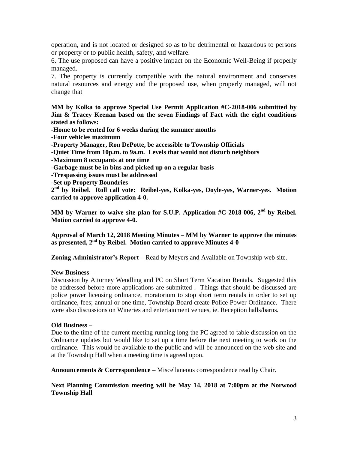operation, and is not located or designed so as to be detrimental or hazardous to persons or property or to public health, safety, and welfare.

6. The use proposed can have a positive impact on the Economic Well-Being if properly managed.

7. The property is currently compatible with the natural environment and conserves natural resources and energy and the proposed use, when properly managed, will not change that

**MM by Kolka to approve Special Use Permit Application #C-2018-006 submitted by Jim & Tracey Keenan based on the seven Findings of Fact with the eight conditions stated as follows:**

**-Home to be rented for 6 weeks during the summer months**

**-Four vehicles maximum**

**-Property Manager, Ron DePotte, be accessible to Township Officials**

- **-Quiet Time from 10p.m. to 9a.m. Levels that would not disturb neighbors**
- **-Maximum 8 occupants at one time**
- **-Garbage must be in bins and picked up on a regular basis**
- **-Trespassing issues must be addressed**
- **-Set up Property Boundries**

**2 nd by Reibel. Roll call vote: Reibel-yes, Kolka-yes, Doyle-yes, Warner-yes. Motion carried to approve application 4-0.**

**MM by Warner to waive site plan for S.U.P. Application #C-2018-006, 2nd by Reibel. Motion carried to approve 4-0.**

**Approval of March 12, 2018 Meeting Minutes – MM by Warner to approve the minutes as presented, 2nd by Reibel. Motion carried to approve Minutes 4-0**

**Zoning Administrator's Report –** Read by Meyers and Available on Township web site.

#### **New Business –**

Discussion by Attorney Wendling and PC on Short Term Vacation Rentals. Suggested this be addressed before more applications are submitted . Things that should be discussed are police power licensing ordinance, moratorium to stop short term rentals in order to set up ordinance, fees; annual or one time, Township Board create Police Power Ordinance. There were also discussions on Wineries and entertainment venues, ie. Reception halls/barns.

#### **Old Business –**

Due to the time of the current meeting running long the PC agreed to table discussion on the Ordinance updates but would like to set up a time before the next meeting to work on the ordinance. This would be available to the public and will be announced on the web site and at the Township Hall when a meeting time is agreed upon.

**Announcements & Correspondence –** Miscellaneous correspondence read by Chair.

**Next Planning Commission meeting will be May 14, 2018 at 7:00pm at the Norwood Township Hall**